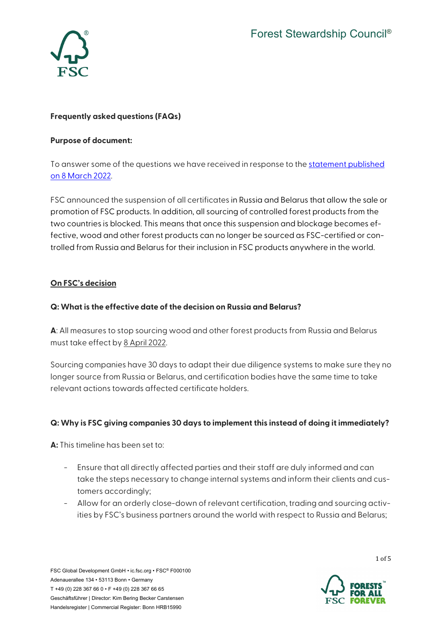

## **Frequently asked questions (FAQs)**

#### **Purpose of document:**

To answer some of the questions we have received in response to the [statement published](https://fsc.org/en/newsfeed/no-fsc-material-from-russia-and-belarus-until-the-invasion-ends)  [on 8 March 2022.](https://fsc.org/en/newsfeed/no-fsc-material-from-russia-and-belarus-until-the-invasion-ends) 

FSC announced the suspension of all certificates in Russia and Belarus that allow the sale or promotion of FSC products. In addition, all sourcing of controlled forest products from the two countries is blocked. This means that once this suspension and blockage becomes effective, wood and other forest products can no longer be sourced as FSC-certified or controlled from Russia and Belarus for their inclusion in FSC products anywhere in the world.

### **On FSC's decision**

#### **Q: What is the effective date of the decision on Russia and Belarus?**

**A**: All measures to stop sourcing wood and other forest products from Russia and Belarus must take effect by 8 April 2022.

Sourcing companies have 30 days to adapt their due diligence systems to make sure they no longer source from Russia or Belarus, and certification bodies have the same time to take relevant actions towards affected certificate holders.

### **Q: Why is FSC giving companies 30 days to implement this instead of doing it immediately?**

**A:** This timeline has been set to:

- Ensure that all directly affected parties and their staff are duly informed and can take the steps necessary to change internal systems and inform their clients and customers accordingly;
- Allow for an orderly close-down of relevant certification, trading and sourcing activities by FSC's business partners around the world with respect to Russia and Belarus;

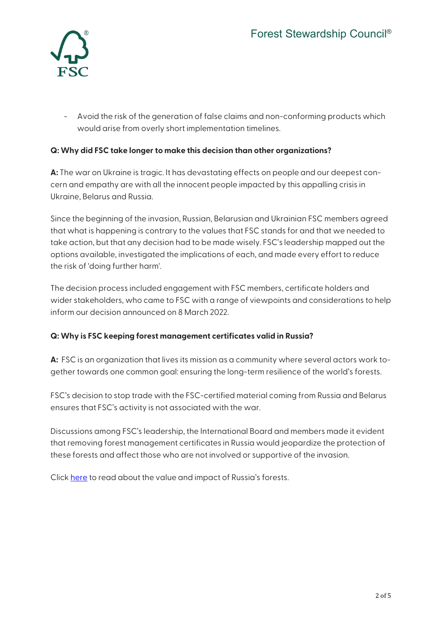

- Avoid the risk of the generation of false claims and non-conforming products which would arise from overly short implementation timelines.

## **Q: Why did FSC take longer to make this decision than other organizations?**

**A:** The war on Ukraine is tragic. It has devastating effects on people and our deepest concern and empathy are with all the innocent people impacted by this appalling crisis in Ukraine, Belarus and Russia.

Since the beginning of the invasion, Russian, Belarusian and Ukrainian FSC members agreed that what is happening is contrary to the values that FSC stands for and that we needed to take action, but that any decision had to be made wisely. FSC's leadership mapped out the options available, investigated the implications of each, and made every effort to reduce the risk of 'doing further harm'.

The decision process included engagement with FSC members, certificate holders and wider stakeholders, who came to FSC with a range of viewpoints and considerations to help inform our decision announced on 8 March 2022.

### **Q: Why is FSC keeping forest management certificates valid in Russia?**

**A:** FSC is an organization that lives its mission as a community where several actors work together towards one common goal: ensuring the long-term resilience of the world's forests.

FSC's decision to stop trade with the FSC-certified material coming from Russia and Belarus ensures that FSC's activity is not associated with the war.

Discussions among FSC's leadership, the International Board and members made it evident that removing forest management certificates in Russia would jeopardize the protection of these forests and affect those who are not involved or supportive of the invasion.

Click [here](https://fsc.org/en/newsfeed/stricter-rules-protect-biodiversity-and-intact-forest-landscapes-in-russia) to read about the value and impact of Russia's forests.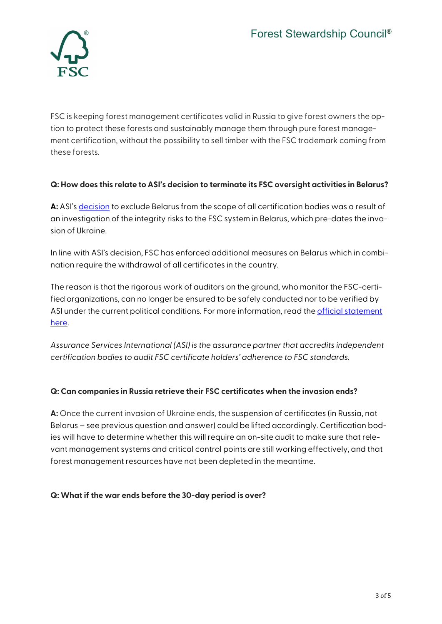

FSC is keeping forest management certificates valid in Russia to give forest owners the option to protect these forests and sustainably manage them through pure forest management certification, without the possibility to sell timber with the FSC trademark coming from these forests.

## **Q: How does this relate to ASI's decision to terminate its FSC oversight activities in Belarus?**

**A:** ASI's [decision](https://www.asi-assurance.org/s/post/a1J5c00000S0fkkEAB/p0941) to exclude Belarus from the scope of all certification bodies was a result of an investigation of the integrity risks to the FSC system in Belarus, which pre-dates the invasion of Ukraine.

In line with ASI's decision, FSC has enforced additional measures on Belarus which in combination require the withdrawal of all certificates in the country.

The reason is that the rigorous work of auditors on the ground, who monitor the FSC-certified organizations, can no longer be ensured to be safely conducted nor to be verified by ASI under the current political conditions. For more information, read the *official statement* [here.](https://fsc.org/en/newsfeed/all-belarussian-fsc-certificates-will-have-to-be-terminated)

*Assurance Services International (ASI) is the assurance partner that accredits independent certification bodies to audit FSC certificate holders' adherence to FSC standards.*

### **Q: Can companies in Russia retrieve their FSC certificates when the invasion ends?**

**A:** Once the current invasion of Ukraine ends, the suspension of certificates (in Russia, not Belarus – see previous question and answer) could be lifted accordingly. Certification bodies will have to determine whether this will require an on-site audit to make sure that relevant management systems and critical control points are still working effectively, and that forest management resources have not been depleted in the meantime.

### **Q: What if the war ends before the 30-day period is over?**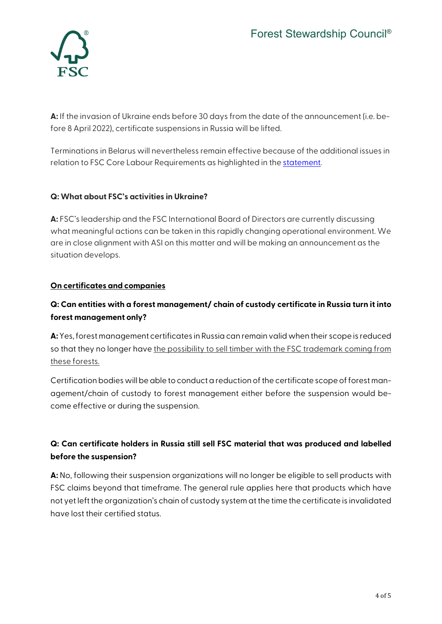

**A:** If the invasion of Ukraine ends before 30 days from the date of the announcement (i.e. before 8 April 2022), certificate suspensions in Russia will be lifted.

Terminations in Belarus will nevertheless remain effective because of the additional issues in relation to FSC Core Labour Requirements as highlighted in th[e statement.](https://fsc.org/en/newsfeed/all-belarussian-fsc-certificates-will-have-to-be-terminated)

## **Q: What about FSC's activities in Ukraine?**

**A:** FSC's leadership and the FSC International Board of Directors are currently discussing what meaningful actions can be taken in this rapidly changing operational environment. We are in close alignment with ASI on this matter and will be making an announcement as the situation develops.

## **On certificates and companies**

# **Q: Can entities with a forest management/ chain of custody certificate in Russia turn it into forest management only?**

**A:**Yes, forest management certificates in Russia can remain valid when their scope is reduced so that they no longer have the possibility to sell timber with the FSC trademark coming from these forests.

Certification bodies will be able to conduct a reduction of the certificate scope of forest management/chain of custody to forest management either before the suspension would become effective or during the suspension.

# **Q: Can certificate holders in Russia still sell FSC material that was produced and labelled before the suspension?**

**A:** No, following their suspension organizations will no longer be eligible to sell products with FSC claims beyond that timeframe. The general rule applies here that products which have not yet left the organization's chain of custody system at the time the certificate is invalidated have lost their certified status.